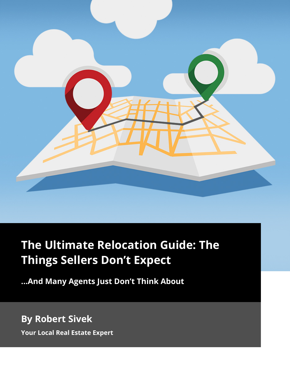

# **The Ultimate Relocation Guide: The Things Sellers Don't Expect**

**...And Many Agents Just Don't Think About**

# **By Robert Sivek**

**Your Local Real Estate Expert**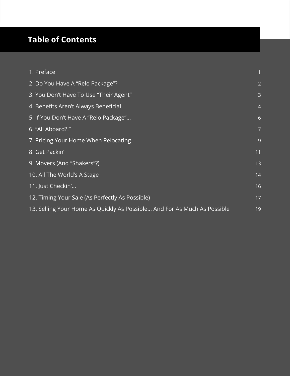## **Table of Contents**

| 1. Preface                                                               |                |
|--------------------------------------------------------------------------|----------------|
| 2. Do You Have A "Relo Package"?                                         | $\overline{2}$ |
| 3. You Don't Have To Use "Their Agent"                                   | 3              |
| 4. Benefits Aren't Always Beneficial                                     | $\overline{4}$ |
| 5. If You Don't Have A "Relo Package"                                    | 6              |
| 6. "All Aboard?!"                                                        | $\overline{7}$ |
| 7. Pricing Your Home When Relocating                                     | $\overline{9}$ |
| 8. Get Packin'                                                           | 11             |
| 9. Movers (And "Shakers"?)                                               | 13             |
| 10. All The World's A Stage                                              | 14             |
| 11. Just Checkin'                                                        | 16             |
| 12. Timing Your Sale (As Perfectly As Possible)                          | 17             |
| 13. Selling Your Home As Quickly As Possible And For As Much As Possible | 19             |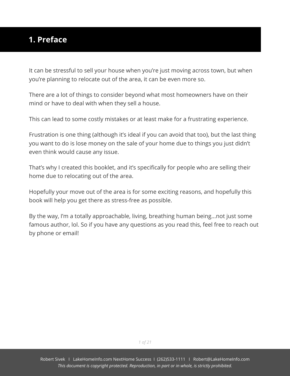#### <span id="page-2-0"></span>**1. Preface**

It can be stressful to sell your house when you're just moving across town, but when you're planning to relocate out of the area, it can be even more so.

There are a lot of things to consider beyond what most homeowners have on their mind or have to deal with when they sell a house.

This can lead to some costly mistakes or at least make for a frustrating experience.

Frustration is one thing (although it's ideal if you can avoid that too), but the last thing you want to do is lose money on the sale of your home due to things you just didn't even think would cause any issue.

That's why I created this booklet, and it's specifically for people who are selling their home due to relocating out of the area.

Hopefully your move out of the area is for some exciting reasons, and hopefully this book will help you get there as stress-free as possible.

By the way, I'm a totally approachable, living, breathing human being...not just some famous author, lol. So if you have any questions as you read this, feel free to reach out by phone or email!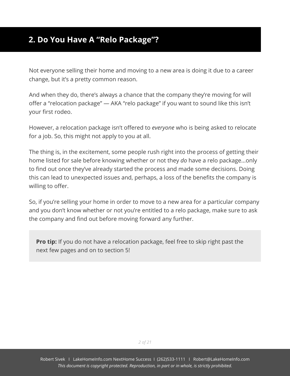#### <span id="page-3-0"></span>**2. Do You Have A "Relo Package"?**

Not everyone selling their home and moving to a new area is doing it due to a career change, but it's a pretty common reason.

And when they do, there's always a chance that the company they're moving for will offer a "relocation package" — AKA "relo package" if you want to sound like this isn't your first rodeo.

However, a relocation package isn't offered to *everyone* who is being asked to relocate for a job. So, this might not apply to you at all.

The thing is, in the excitement, some people rush right into the process of getting their home listed for sale before knowing whether or not they *do* have a relo package...only to find out once they've already started the process and made some decisions. Doing this can lead to unexpected issues and, perhaps, a loss of the benefits the company is willing to offer.

So, if you're selling your home in order to move to a new area for a particular company and you don't know whether or not you're entitled to a relo package, make sure to ask the company and find out before moving forward any further.

**Pro tip:** If you do not have a relocation package, feel free to skip right past the next few pages and on to section 5!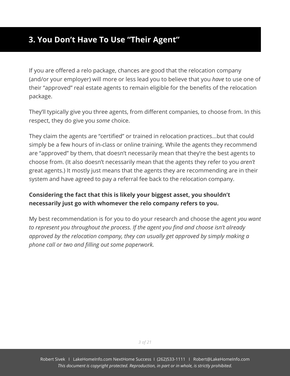#### <span id="page-4-0"></span>**3. You Don't Have To Use "Their Agent"**

If you are offered a relo package, chances are good that the relocation company (and/or your employer) will more or less lead you to believe that you *have* to use one of their "approved" real estate agents to remain eligible for the benefits of the relocation package.

They'll typically give you three agents, from different companies, to choose from. In this respect, they do give you *some* choice.

They claim the agents are "certified" or trained in relocation practices...but that could simply be a few hours of in-class or online training. While the agents they recommend are "approved" by them, that doesn't necessarily mean that they're the best agents to choose from. (It also doesn't necessarily mean that the agents they refer to you *aren't* great agents.) It mostly just means that the agents they are recommending are in their system and have agreed to pay a referral fee back to the relocation company.

#### **Considering the fact that this is likely your biggest asset, you shouldn't necessarily just go with whomever the relo company refers to you.**

My best recommendation is for you to do your research and choose the agent *you want to represent you throughout the process. If the agent you find and choose isn't already approved by the relocation company, they can usually get approved by simply making a phone call or two and filling out some paperwork.*

*3 of 21*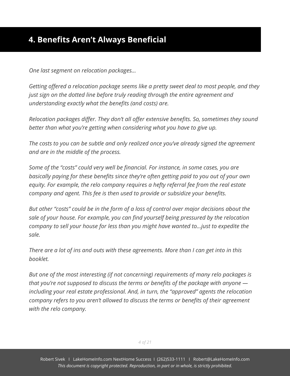<span id="page-5-0"></span>*One last segment on relocation packages…*

*Getting offered a relocation package seems like a pretty sweet deal to most people, and they just sign on the dotted line before truly reading through the entire agreement and understanding exactly what the benefits (and costs) are.*

*Relocation packages differ. They don't all offer extensive benefits. So, sometimes they sound better than what you're getting when considering what you have to give up.*

*The costs to you can be subtle and only realized once you've already signed the agreement and are in the middle of the process.*

*Some of the "costs" could very well be financial. For instance, in some cases, you are basically paying for these benefits since they're often getting paid to you out of your own equity. For example, the relo company requires a hefty referral fee from the real estate company and agent. This fee is then used to provide or subsidize your benefits.*

*But other "costs" could be in the form of a loss of control over major decisions about the sale of your house. For example, you can find yourself being pressured by the relocation company to sell your house for less than you might have wanted to...just to expedite the sale.*

*There are a lot of ins and outs with these agreements. More than I can get into in this booklet.*

*But one of the most interesting (if not concerning) requirements of many relo packages is that you're not supposed to discuss the terms or benefits of the package with anyone including your real estate professional. And, in turn, the "approved" agents the relocation company refers to you aren't allowed to discuss the terms or benefits of their agreement with the relo company.*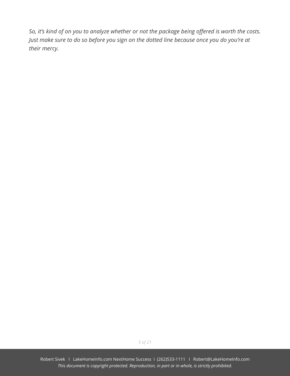*So, it's kind of on you to analyze whether or not the package being offered is worth the costs. Just make sure to do so before you sign on the dotted line because once you do you're at their mercy.*

*5 of 21*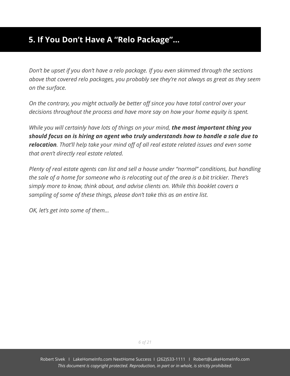### <span id="page-7-0"></span>**5. If You Don't Have A "Relo Package"…**

*Don't be upset if you don't have a relo package. If you even skimmed through the sections above that covered relo packages, you probably see they're not always as great as they seem on the surface.*

*On the contrary, you might actually be better off since you have total control over your decisions throughout the process and have more say on how your home equity is spent.*

*While you will certainly have lots of things on your mind, the most important thing you should focus on is hiring an agent who truly understands how to handle a sale due to relocation. That'll help take your mind off of all real estate related issues and even some that aren't directly real estate related.*

*Plenty of real estate agents can list and sell a house under "normal" conditions, but handling the sale of a home for someone who is relocating out of the area is a bit trickier. There's simply more to know, think about, and advise clients on. While this booklet covers a sampling of some of these things, please don't take this as an entire list.*

*OK, let's get into some of them…*

Robert Sivek I LakeHomeInfo.com NextHome Success I (262)533-1111 I Robert@LakeHomeInfo.com *This document is copyright protected. Reproduction, in part or in whole, is strictly prohibited.*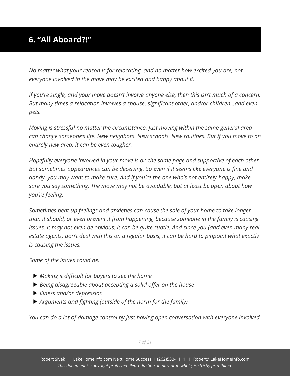## <span id="page-8-0"></span>**6. "All Aboard?!"**

*No matter what your reason is for relocating, and no matter how excited you are, not everyone involved in the move may be excited and happy about it.*

*If you're single, and your move doesn't involve anyone else, then this isn't much of a concern. But many times a relocation involves a spouse, significant other, and/or children...and even pets.*

*Moving is stressful no matter the circumstance. Just moving within the same general area can change someone's life. New neighbors. New schools. New routines. But if you move to an entirely new area, it can be even tougher.*

*Hopefully everyone involved in your move is on the same page and supportive of each other. But sometimes appearances can be deceiving. So even if it seems like everyone is fine and dandy, you may want to make sure. And if you're the one who's not entirely happy, make sure you say something. The move may not be avoidable, but at least be open about how you're feeling.*

*Sometimes pent up feelings and anxieties can cause the sale of your home to take longer than it should, or even prevent it from happening, because someone in the family is causing issues. It may not even be obvious; it can be quite subtle. And since you (and even many real estate agents) don't deal with this on a regular basis, it can be hard to pinpoint what exactly is causing the issues.*

*Some of the issues could be:*

- *Making it difficult for buyers to see the home*
- *Being disagreeable about accepting a solid offer on the house*
- *Illness and/or depression*
- *Arguments and fighting (outside of the norm for the family)*

*You can do a lot of damage control by just having open conversation with everyone involved*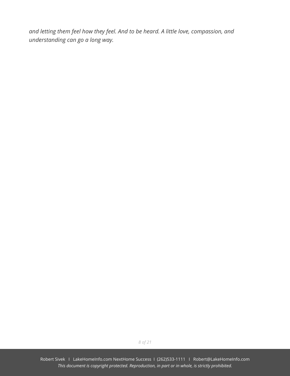*and letting them feel how they feel. And to be heard. A little love, compassion, and understanding can go a long way.*

*8 of 21*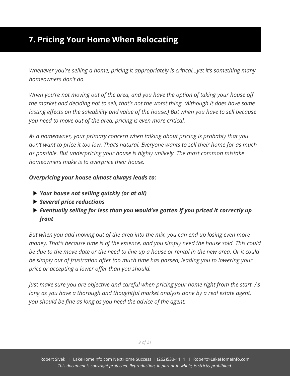## <span id="page-10-0"></span>**7. Pricing Your Home When Relocating**

*Whenever you're selling a home, pricing it appropriately is critical...yet it's something many homeowners don't do.*

*When you're not moving out of the area, and you have the option of taking your house off the market and deciding not to sell, that's not the worst thing. (Although it does have some lasting effects on the saleability and value of the house.) But when you have to sell because you need to move out of the area, pricing is even more critical.*

*As a homeowner, your primary concern when talking about pricing is probably that you don't want to price it too low. That's natural. Everyone wants to sell their home for as much as possible. But underpricing your house is highly unlikely. The most common mistake homeowners make is to overprice their house.*

#### *Overpricing your house almost always leads to:*

- *Your house not selling quickly (or at all)*
- *Several price reductions*
- *Eventually selling for less than you would've gotten if you priced it correctly up front*

*But when you add moving out of the area into the mix, you can end up losing even more money. That's because time is of the essence, and you simply need the house sold. This could be due to the move date or the need to line up a house or rental in the new area. Or it could be simply out of frustration after too much time has passed, leading you to lowering your price or accepting a lower offer than you should.*

*Just make sure you are objective and careful when pricing your home right from the start. As long as you have a thorough and thoughtful market analysis done by a real estate agent, you should be fine as long as you heed the advice of the agent.*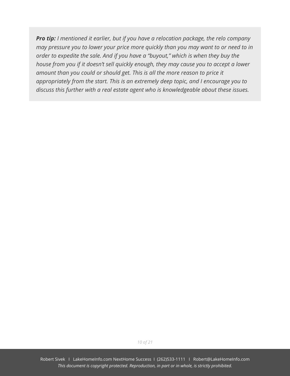*Pro tip: I mentioned it earlier, but if you have a relocation package, the relo company may pressure you to lower your price more quickly than you may want to or need to in order to expedite the sale. And if you have a "buyout," which is when they buy the house from you if it doesn't sell quickly enough, they may cause you to accept a lower amount than you could or should get. This is all the more reason to price it appropriately from the start. This is an extremely deep topic, and I encourage you to discuss this further with a real estate agent who is knowledgeable about these issues.*

*10 of 21*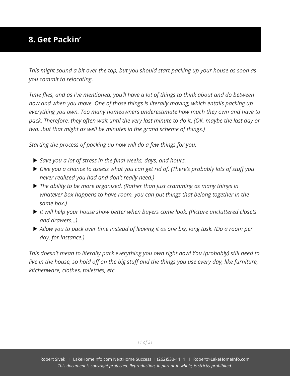### <span id="page-12-0"></span>**8. Get Packin'**

*This might sound a bit over the top, but you should start packing up your house as soon as you commit to relocating.*

*Time flies, and as I've mentioned, you'll have a lot of things to think about and do between now and when you move. One of those things is literally moving, which entails packing up everything you own. Too many homeowners underestimate how much they own and have to pack. Therefore, they often wait until the very last minute to do it. (OK, maybe the last day or two...but that might as well be minutes in the grand scheme of things.)*

*Starting the process of packing up now will do a few things for you:*

- *Save you a lot of stress in the final weeks, days, and hours.*
- *Give you a chance to assess what you can get rid of. (There's probably lots of stuff you never realized you had and don't really need.)*
- *The ability to be more organized. (Rather than just cramming as many things in whatever box happens to have room, you can put things that belong together in the same box.)*
- *It will help your house show better when buyers come look. (Picture uncluttered closets and drawers…)*
- *Allow you to pack over time instead of leaving it as one big, long task. (Do a room per day, for instance.)*

*This doesn't mean to literally pack everything you own right now! You (probably) still need to live in the house, so hold off on the big stuff and the things you use every day, like furniture, kitchenware, clothes, toiletries, etc.*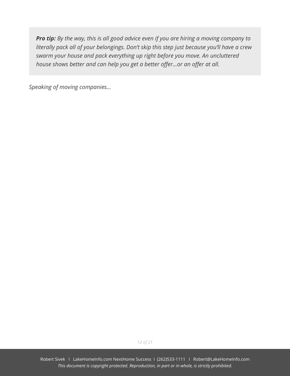*Pro tip: By the way, this is all good advice even if you are hiring a moving company to literally pack all of your belongings. Don't skip this step just because you'll have a crew swarm your house and pack everything up right before you move. An uncluttered house shows better and can help you get a better offer...or an offer at all.*

*Speaking of moving companies...*

*12 of 21*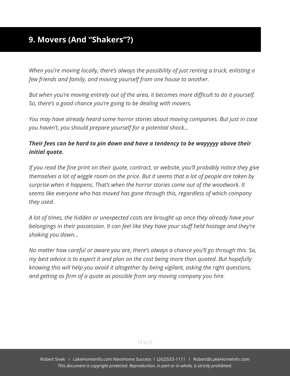#### <span id="page-14-0"></span>**9. Movers (And "Shakers"?)**

*When you're moving locally, there's always the possibility of just renting a truck, enlisting a few friends and family, and moving yourself from one house to another.*

*But when you're moving entirely out of the area, it becomes more difficult to do it yourself. So, there's a good chance you're going to be dealing with movers.*

*You may have already heard some horror stories about moving companies. But just in case you haven't, you should prepare yourself for a potential shock…*

#### *Their fees can be hard to pin down and have a tendency to be wayyyyy above their initial quote.*

*If you read the fine print on their quote, contract, or website, you'll probably notice they give themselves a lot of wiggle room on the price. But it seems that a lot of people are taken by surprise when it happens. That's when the horror stories come out of the woodwork. It seems like everyone who has moved has gone through this, regardless of which company they used.*

*A lot of times, the hidden or unexpected costs are brought up once they already have your belongings in their possession. It can feel like they have your stuff held hostage and they're shaking you down…*

*No matter how careful or aware you are, there's always a chance you'll go through this. So, my best advice is to expect it and plan on the cost being more than quoted. But hopefully knowing this will help you avoid it altogether by being vigilant, asking the right questions, and getting as firm of a quote as possible from any moving company you hire.*

*13 of 21*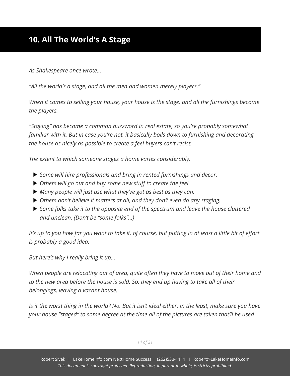<span id="page-15-0"></span>*As Shakespeare once wrote…*

*"All the world's a stage, and all the men and women merely players."*

*When it comes to selling your house, your house is the stage, and all the furnishings become the players.*

*"Staging" has become a common buzzword in real estate, so you're probably somewhat familiar with it. But in case you're not, it basically boils down to furnishing and decorating the house as nicely as possible to create a feel buyers can't resist.*

*The extent to which someone stages a home varies considerably.*

- *Some will hire professionals and bring in rented furnishings and decor.*
- *Others will go out and buy some new stuff to create the feel.*
- *Many people will just use what they've got as best as they can.*
- *Others don't believe it matters at all, and they don't even do any staging.*
- *Some folks take it to the opposite end of the spectrum and leave the house cluttered and unclean. (Don't be "some folks"...)*

*It's up to you how far you want to take it, of course, but putting in at least a little bit of effort is probably a good idea.*

*But here's why I really bring it up…*

*When people are relocating out of area, quite often they have to move out of their home and to the new area before the house is sold. So, they end up having to take all of their belongings, leaving a vacant house.*

*Is it the worst thing in the world? No. But it isn't ideal either. In the least, make sure you have your house "staged" to some degree at the time all of the pictures are taken that'll be used*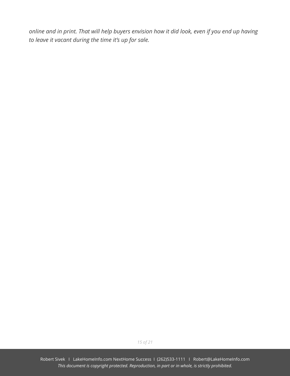*online and in print. That will help buyers envision how it did look, even if you end up having to leave it vacant during the time it's up for sale.*

*15 of 21*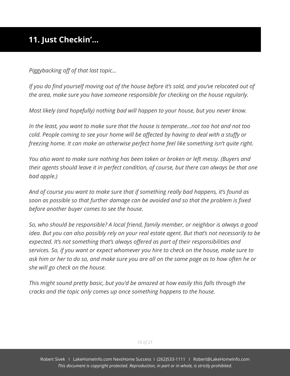## <span id="page-17-0"></span>**11. Just Checkin'…**

*Piggybacking off of that last topic…*

*If you do find yourself moving out of the house before it's sold, and you've relocated out of the area, make sure you have someone responsible for checking on the house regularly.*

*Most likely (and hopefully) nothing bad will happen to your house, but you never know.*

*In the least, you want to make sure that the house is temperate...not too hot and not too cold. People coming to see your home will be affected by having to deal with a stuffy or freezing home. It can make an otherwise perfect home feel like something isn't quite right.*

*You also want to make sure nothing has been taken or broken or left messy. (Buyers and their agents should leave it in perfect condition, of course, but there can always be that one bad apple.)*

*And of course you want to make sure that if something really bad happens, it's found as soon as possible so that further damage can be avoided and so that the problem is fixed before another buyer comes to see the house.*

*So, who should be responsible? A local friend, family member, or neighbor is always a good idea. But you can also possibly rely on your real estate agent. But that's not necessarily to be expected. It's not something that's always offered as part of their responsibilities and services. So, if you want or expect whomever you hire to check on the house, make sure to ask him or her to do so, and make sure you are all on the same page as to how often he or she will go check on the house.*

*This might sound pretty basic, but you'd be amazed at how easily this falls through the cracks and the topic only comes up once something happens to the house.*

*16 of 21*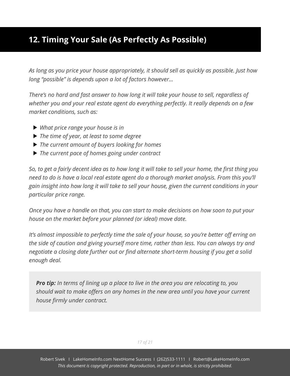### <span id="page-18-0"></span>**12. Timing Your Sale (As Perfectly As Possible)**

*As long as you price your house appropriately, it should sell as quickly as possible. Just how long "possible" is depends upon a lot of factors however…*

*There's no hard and fast answer to how long it will take your house to sell, regardless of whether you and your real estate agent do everything perfectly. It really depends on a few market conditions, such as:*

- *What price range your house is in*
- *The time of year, at least to some degree*
- *The current amount of buyers looking for homes*
- *The current pace of homes going under contract*

*So, to get a fairly decent idea as to how long it will take to sell your home, the first thing you need to do is have a local real estate agent do a thorough market analysis. From this you'll gain insight into how long it will take to sell your house, given the current conditions in your particular price range.*

*Once you have a handle on that, you can start to make decisions on how soon to put your house on the market before your planned (or ideal) move date.*

*It's almost impossible to perfectly time the sale of your house, so you're better off erring on the side of caution and giving yourself more time, rather than less. You can always try and negotiate a closing date further out or find alternate short-term housing if you get a solid enough deal.*

*Pro tip: In terms of lining up a place to live in the area you are relocating to, you should wait to make offers on any homes in the new area until you have your current house firmly under contract.*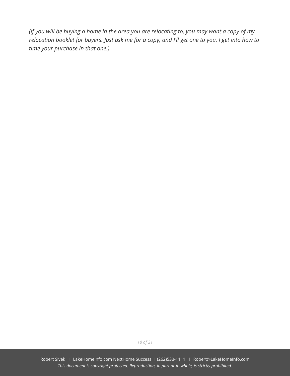*(If you will be buying a home in the area you are relocating to, you may want a copy of my relocation booklet for buyers. Just ask me for a copy, and I'll get one to you. I get into how to time your purchase in that one.)*

*18 of 21*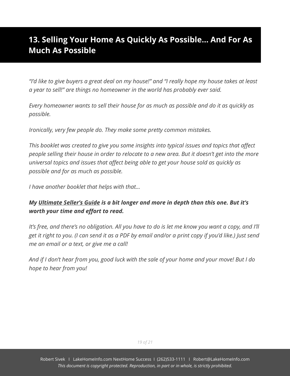### <span id="page-20-0"></span>**13. Selling Your Home As Quickly As Possible… And For As Much As Possible**

*"I'd like to give buyers a great deal on my house!" and "I really hope my house takes at least a year to sell!" are things no homeowner in the world has probably ever said.*

*Every homeowner wants to sell their house for as much as possible and do it as quickly as possible.*

*Ironically, very few people do. They make some pretty common mistakes.*

*This booklet was created to give you some insights into typical issues and topics that affect people selling their house in order to relocate to a new area. But it doesn't get into the more universal topics and issues that affect being able to get your house sold as quickly as possible and for as much as possible.*

*I have another booklet that helps with that…*

#### *My Ultimate Seller's Guide is a bit longer and more in depth than this one. But it's worth your time and effort to read.*

*It's free, and there's no obligation. All you have to do is let me know you want a copy, and I'll get it right to you. (I can send it as a PDF by email and/or a print copy if you'd like.) Just send me an email or a text, or give me a call!*

*And if I don't hear from you, good luck with the sale of your home and your move! But I do hope to hear from you!*

*19 of 21*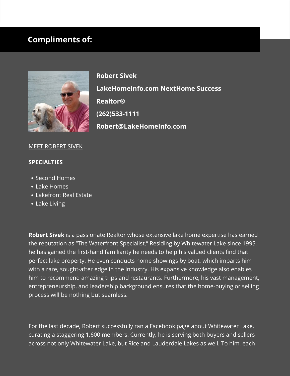#### **Compliments of:**



**Robert Sivek LakeHomeInfo.com NextHome Success Realtor® (262)533-1111 Robert@LakeHomeInfo.com**

#### MEET ROBERT SIVEK

#### **SPECIALTIES**

- Second Homes
- Lake Homes
- Lakefront Real Estate
- Lake Living

**Robert Sivek** is a passionate Realtor whose extensive lake home expertise has earned the reputation as "The Waterfront Specialist." Residing by Whitewater Lake since 1995, he has gained the first-hand familiarity he needs to help his valued clients find that perfect lake property. He even conducts home showings by boat, which imparts him with a rare, sought-after edge in the industry. His expansive knowledge also enables him to recommend amazing trips and restaurants. Furthermore, his vast management, entrepreneurship, and leadership background ensures that the home-buying or selling process will be nothing but seamless.

For the last decade, Robert successfully ran a Facebook page about Whitewater Lake, curating a staggering 1,600 members. Currently, he is serving both buyers and sellers across not only Whitewater Lake, but Rice and Lauderdale Lakes as well. To him, each